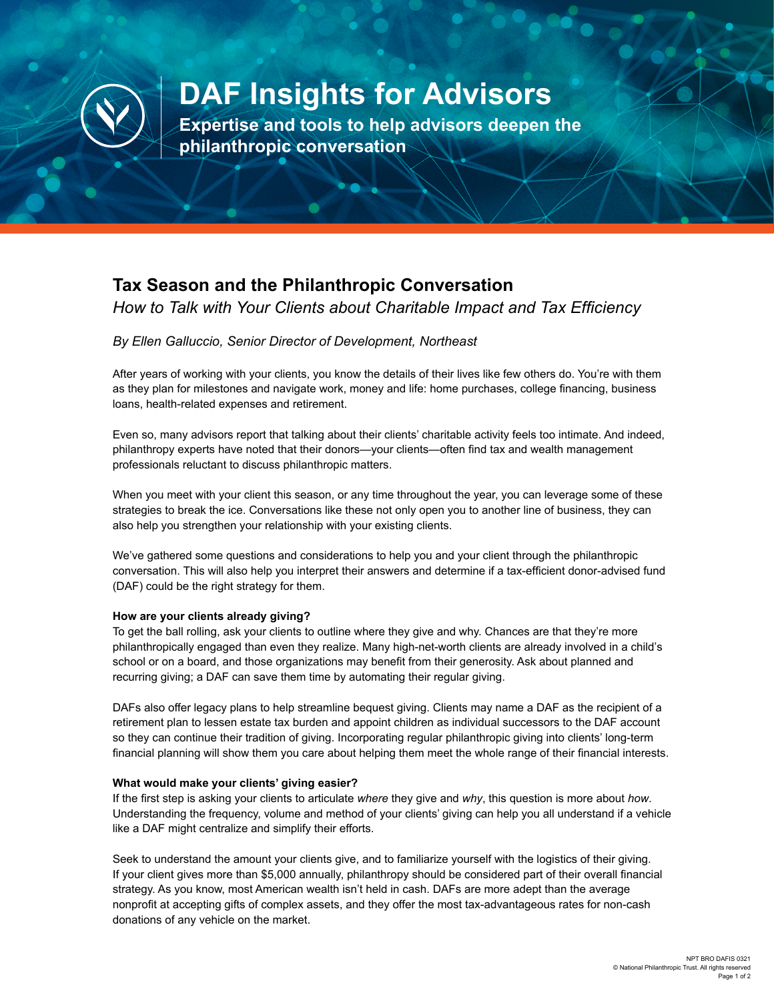

# **DAF Insights for Advisors**

**Expertise and tools to help advisors deepen the philanthropic conversation**

# **Tax Season and the Philanthropic Conversation**

*How to Talk with Your Clients about Charitable Impact and Tax Efficiency*

## *By Ellen Galluccio, Senior Director of Development, Northeast*

After years of working with your clients, you know the details of their lives like few others do. You're with them as they plan for milestones and navigate work, money and life: home purchases, college financing, business loans, health-related expenses and retirement.

Even so, many advisors report that talking about their clients' charitable activity feels too intimate. And indeed, philanthropy experts have noted that their donors—your clients—often find tax and wealth management professionals reluctant to discuss philanthropic matters.

When you meet with your client this season, or any time throughout the year, you can leverage some of these strategies to break the ice. Conversations like these not only open you to another line of business, they can also help you strengthen your relationship with your existing clients.

We've gathered some questions and considerations to help you and your client through the philanthropic conversation. This will also help you interpret their answers and determine if a tax-efficient donor-advised fund (DAF) could be the right strategy for them.

#### **How are your clients already giving?**

To get the ball rolling, ask your clients to outline where they give and why. Chances are that they're more philanthropically engaged than even they realize. Many high-net-worth clients are already involved in a child's school or on a board, and those organizations may benefit from their generosity. Ask about planned and recurring giving; a DAF can save them time by automating their regular giving.

DAFs also offer legacy plans to help streamline bequest giving. Clients may name a DAF as the recipient of a retirement plan to lessen estate tax burden and appoint children as individual successors to the DAF account so they can continue their tradition of giving. Incorporating regular philanthropic giving into clients' long-term financial planning will show them you care about helping them meet the whole range of their financial interests.

#### **What would make your clients' giving easier?**

If the first step is asking your clients to articulate *where* they give and *why*, this question is more about *how*. Understanding the frequency, volume and method of your clients' giving can help you all understand if a vehicle like a DAF might centralize and simplify their efforts.

Seek to understand the amount your clients give, and to familiarize yourself with the logistics of their giving. If your client gives more than \$5,000 annually, philanthropy should be considered part of their overall financial strategy. As you know, most American wealth isn't held in cash. DAFs are more adept than the average nonprofit at accepting gifts of complex assets, and they offer the most tax-advantageous rates for non-cash donations of any vehicle on the market.